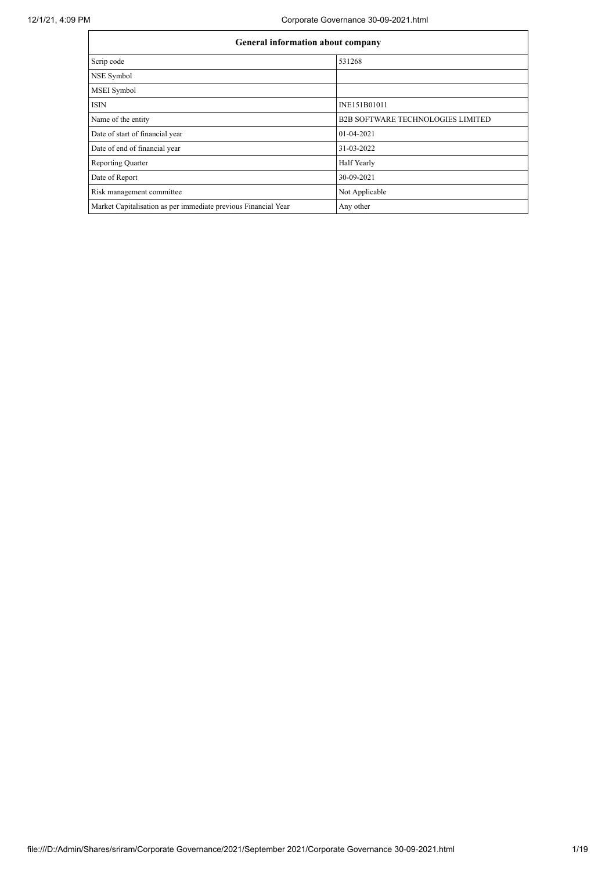|                                                                | <b>General information about company</b> |  |  |  |  |  |  |
|----------------------------------------------------------------|------------------------------------------|--|--|--|--|--|--|
| Scrip code                                                     | 531268                                   |  |  |  |  |  |  |
| NSE Symbol                                                     |                                          |  |  |  |  |  |  |
| MSEI Symbol                                                    |                                          |  |  |  |  |  |  |
| <b>ISIN</b>                                                    | INE151B01011                             |  |  |  |  |  |  |
| Name of the entity                                             | <b>B2B SOFTWARE TECHNOLOGIES LIMITED</b> |  |  |  |  |  |  |
| Date of start of financial year                                | 01-04-2021                               |  |  |  |  |  |  |
| Date of end of financial year                                  | 31-03-2022                               |  |  |  |  |  |  |
| <b>Reporting Quarter</b>                                       | Half Yearly                              |  |  |  |  |  |  |
| Date of Report                                                 | 30-09-2021                               |  |  |  |  |  |  |
| Risk management committee                                      | Not Applicable                           |  |  |  |  |  |  |
| Market Capitalisation as per immediate previous Financial Year | Any other                                |  |  |  |  |  |  |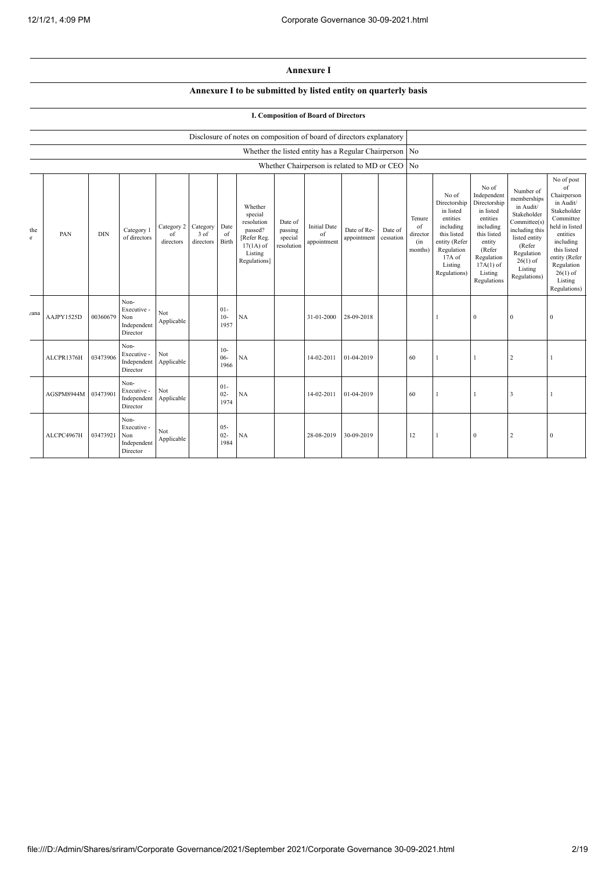## **Annexure I**

## **Annexure I to be submitted by listed entity on quarterly basis**

## **I. Composition of Board of Directors**

|                    |            |            |                                                       |                               |                                 |                          | Disclosure of notes on composition of board of directors explanatory                                 |                                             |                                          |                                                        |                      |                                            |                                                                                                                                                |                                                                                                                                                                      |                                                                                                                                                                          |                                                                                                                                                                                                            |
|--------------------|------------|------------|-------------------------------------------------------|-------------------------------|---------------------------------|--------------------------|------------------------------------------------------------------------------------------------------|---------------------------------------------|------------------------------------------|--------------------------------------------------------|----------------------|--------------------------------------------|------------------------------------------------------------------------------------------------------------------------------------------------|----------------------------------------------------------------------------------------------------------------------------------------------------------------------|--------------------------------------------------------------------------------------------------------------------------------------------------------------------------|------------------------------------------------------------------------------------------------------------------------------------------------------------------------------------------------------------|
|                    |            |            |                                                       |                               |                                 |                          |                                                                                                      |                                             |                                          | Whether the listed entity has a Regular Chairperson No |                      |                                            |                                                                                                                                                |                                                                                                                                                                      |                                                                                                                                                                          |                                                                                                                                                                                                            |
|                    |            |            |                                                       |                               |                                 |                          |                                                                                                      |                                             |                                          | Whether Chairperson is related to MD or CEO            |                      | N <sub>o</sub>                             |                                                                                                                                                |                                                                                                                                                                      |                                                                                                                                                                          |                                                                                                                                                                                                            |
| the<br>$\mathbf T$ | PAN        | <b>DIN</b> | Category 1<br>of directors                            | Category 2<br>of<br>directors | Category<br>$3$ of<br>directors | Date<br>of<br>Birth      | Whether<br>special<br>resolution<br>passed?<br>[Refer Reg.<br>$17(1A)$ of<br>Listing<br>Regulations] | Date of<br>passing<br>special<br>resolution | <b>Initial Date</b><br>of<br>appointment | Date of Re-<br>appointment                             | Date of<br>cessation | Tenure<br>of<br>director<br>(in<br>months) | No of<br>Directorship<br>in listed<br>entities<br>including<br>this listed<br>entity (Refer<br>Regulation<br>17A of<br>Listing<br>Regulations) | No of<br>Independent<br>Directorship<br>in listed<br>entities<br>including<br>this listed<br>entity<br>(Refer<br>Regulation<br>$17A(1)$ of<br>Listing<br>Regulations | Number of<br>memberships<br>in Audit/<br>Stakeholder<br>Committee(s)<br>including this<br>listed entity<br>(Refer<br>Regulation<br>$26(1)$ of<br>Listing<br>Regulations) | No of post<br>of<br>Chairperson<br>in Audit/<br>Stakeholder<br>Committee<br>held in listed<br>entities<br>including<br>this listed<br>entity (Refer<br>Regulation<br>$26(1)$ of<br>Listing<br>Regulations) |
| /ana               | AAJPY1525D | 00360679   | Non-<br>Executive -<br>Non<br>Independent<br>Director | Not<br>Applicable             |                                 | $01 -$<br>$10-$<br>1957  | NA                                                                                                   |                                             | 31-01-2000                               | 28-09-2018                                             |                      |                                            |                                                                                                                                                | $\Omega$                                                                                                                                                             | $\theta$                                                                                                                                                                 | $\theta$                                                                                                                                                                                                   |
|                    | ALCPR1376H | 03473906   | Non-<br>Executive -<br>Independent<br>Director        | Not<br>Applicable             |                                 | $10-$<br>$06 -$<br>1966  | NA                                                                                                   |                                             | 14-02-2011                               | 01-04-2019                                             |                      | 60                                         |                                                                                                                                                |                                                                                                                                                                      | $\overline{2}$                                                                                                                                                           |                                                                                                                                                                                                            |
|                    | AGSPM8944M | 03473901   | Non-<br>Executive -<br>Independent<br>Director        | Not<br>Applicable             |                                 | $01 -$<br>$02 -$<br>1974 | NA                                                                                                   |                                             | 14-02-2011                               | 01-04-2019                                             |                      | 60                                         |                                                                                                                                                |                                                                                                                                                                      | 3                                                                                                                                                                        |                                                                                                                                                                                                            |
|                    | ALCPC4967H | 03473921   | Non-<br>Executive -<br>Non<br>Independent<br>Director | Not<br>Applicable             |                                 | $05 -$<br>$02 -$<br>1984 | <b>NA</b>                                                                                            |                                             | 28-08-2019                               | 30-09-2019                                             |                      | 12                                         |                                                                                                                                                | $\theta$                                                                                                                                                             | $\overline{2}$                                                                                                                                                           | $\Omega$                                                                                                                                                                                                   |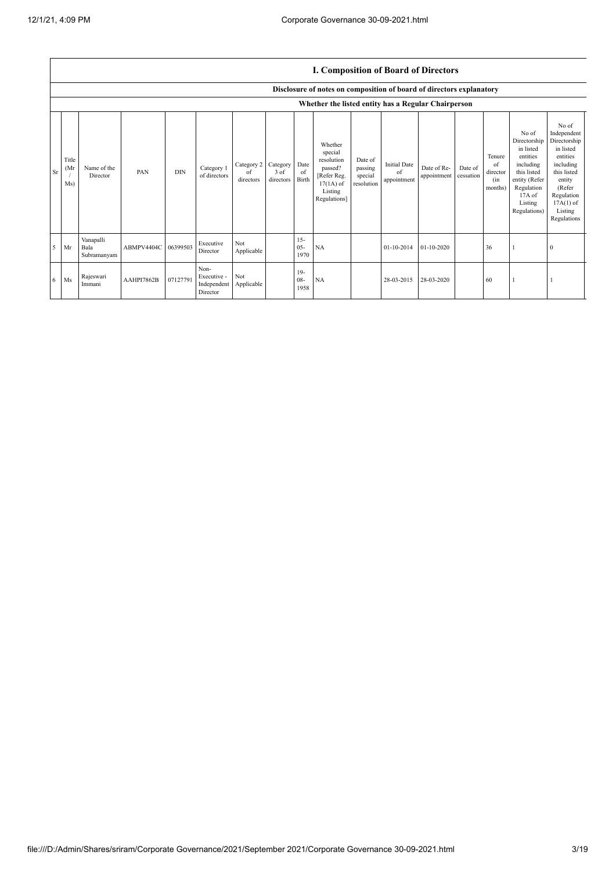|    |                     |                                  |            |            |                                                |                               |                               |                          | I. Composition of Board of Directors                                                                 |                                             |                                          |                            |                      |                                            |                                                                                                                                                |                                                                                                                                                                      |
|----|---------------------|----------------------------------|------------|------------|------------------------------------------------|-------------------------------|-------------------------------|--------------------------|------------------------------------------------------------------------------------------------------|---------------------------------------------|------------------------------------------|----------------------------|----------------------|--------------------------------------------|------------------------------------------------------------------------------------------------------------------------------------------------|----------------------------------------------------------------------------------------------------------------------------------------------------------------------|
|    |                     |                                  |            |            |                                                |                               |                               |                          | Disclosure of notes on composition of board of directors explanatory                                 |                                             |                                          |                            |                      |                                            |                                                                                                                                                |                                                                                                                                                                      |
|    |                     |                                  |            |            |                                                |                               |                               |                          | Whether the listed entity has a Regular Chairperson                                                  |                                             |                                          |                            |                      |                                            |                                                                                                                                                |                                                                                                                                                                      |
| Sr | Title<br>(Mr<br>Ms) | Name of the<br>Director          | PAN        | <b>DIN</b> | Category 1<br>of directors                     | Category 2<br>of<br>directors | Category<br>3 of<br>directors | Date<br>of<br>Birth      | Whether<br>special<br>resolution<br>passed?<br>[Refer Reg.<br>$17(1A)$ of<br>Listing<br>Regulations] | Date of<br>passing<br>special<br>resolution | <b>Initial Date</b><br>of<br>appointment | Date of Re-<br>appointment | Date of<br>cessation | Tenure<br>of<br>director<br>(in<br>months) | No of<br>Directorship<br>in listed<br>entities<br>including<br>this listed<br>entity (Refer<br>Regulation<br>17A of<br>Listing<br>Regulations) | No of<br>Independent<br>Directorship<br>in listed<br>entities<br>including<br>this listed<br>entity<br>(Refer<br>Regulation<br>$17A(1)$ of<br>Listing<br>Regulations |
| -5 | Mr                  | Vanapalli<br>Bala<br>Subramanyam | ABMPV4404C | 06399503   | Executive<br>Director                          | Not<br>Applicable             |                               | $15 -$<br>$05 -$<br>1970 | NA                                                                                                   |                                             | 01-10-2014                               | $01 - 10 - 2020$           |                      | 36                                         |                                                                                                                                                | $\mathbf{0}$                                                                                                                                                         |
| -6 | Ms                  | Rajeswari<br>Immani              | AAHPI7862B | 07127791   | Non-<br>Executive -<br>Independent<br>Director | Not<br>Applicable             |                               | $19-$<br>$08 -$<br>1958  | NA                                                                                                   |                                             | 28-03-2015                               | 28-03-2020                 |                      | 60                                         |                                                                                                                                                |                                                                                                                                                                      |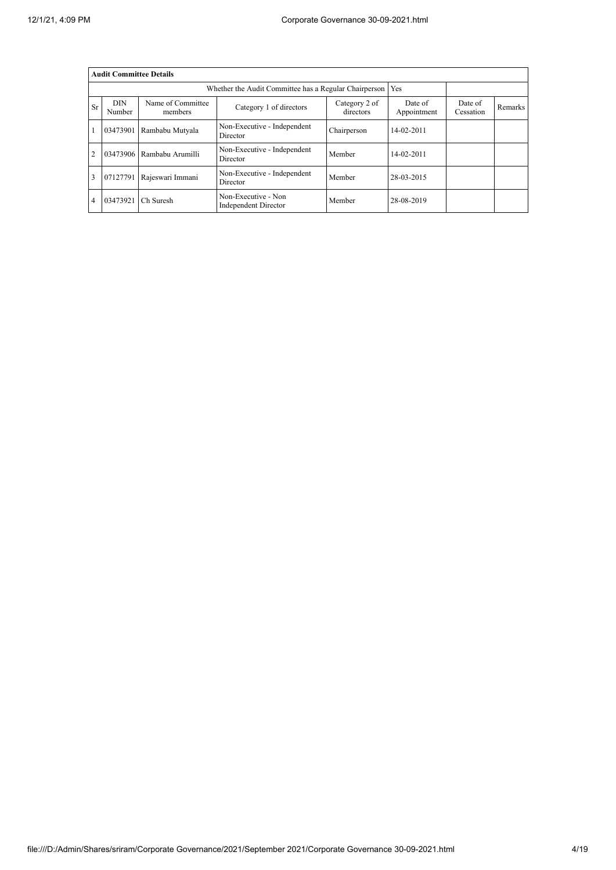|                | <b>Audit Committee Details</b> |                              |                                                       |                            |                        |                      |         |
|----------------|--------------------------------|------------------------------|-------------------------------------------------------|----------------------------|------------------------|----------------------|---------|
|                |                                |                              | Whether the Audit Committee has a Regular Chairperson |                            | Yes                    |                      |         |
| <b>Sr</b>      | <b>DIN</b><br>Number           | Name of Committee<br>members | Category 1 of directors                               | Category 2 of<br>directors | Date of<br>Appointment | Date of<br>Cessation | Remarks |
|                | 03473901                       | Rambabu Mutyala              | Non-Executive - Independent<br>Director               | Chairperson                | $14 - 02 - 2011$       |                      |         |
| $\overline{2}$ |                                | 03473906 Rambabu Arumilli    | Non-Executive - Independent<br>Director               | Member                     | $14 - 02 - 2011$       |                      |         |
| 3              | 07127791                       | Rajeswari Immani             | Non-Executive - Independent<br>Director               | Member                     | 28-03-2015             |                      |         |
| $\overline{4}$ | 03473921                       | Ch Suresh                    | Non-Executive - Non<br>Independent Director           | Member                     | 28-08-2019             |                      |         |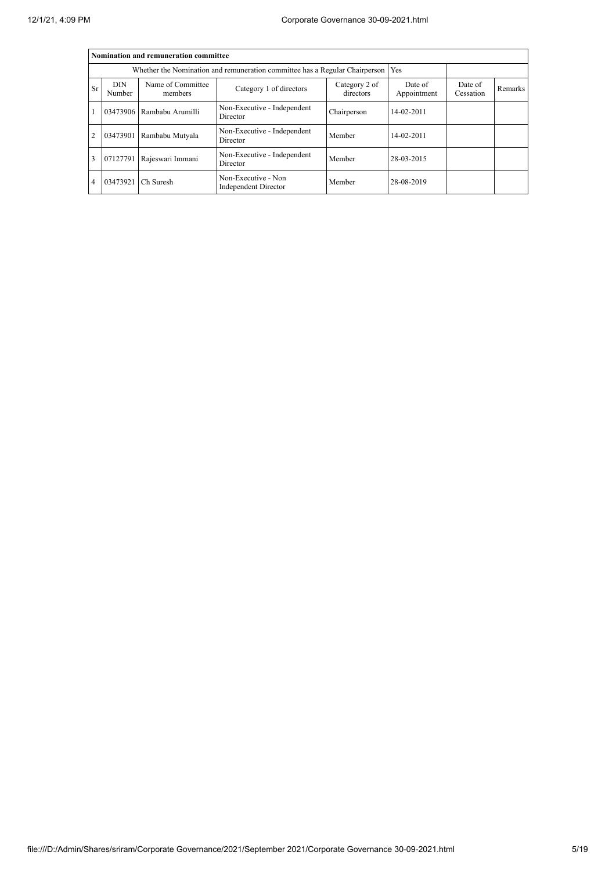|                |                      | Nomination and remuneration committee |                                                                                   |                            |                        |                      |                |
|----------------|----------------------|---------------------------------------|-----------------------------------------------------------------------------------|----------------------------|------------------------|----------------------|----------------|
|                |                      |                                       | Whether the Nomination and remuneration committee has a Regular Chairperson   Yes |                            |                        |                      |                |
| Sr             | <b>DIN</b><br>Number | Name of Committee<br>members          | Category 1 of directors                                                           | Category 2 of<br>directors | Date of<br>Appointment | Date of<br>Cessation | <b>Remarks</b> |
|                |                      | 03473906 Rambabu Arumilli             | Non-Executive - Independent<br>Director                                           | Chairperson                | 14-02-2011             |                      |                |
| $\overline{2}$ | 03473901             | Rambabu Mutyala                       | Non-Executive - Independent<br>Director                                           | Member                     | 14-02-2011             |                      |                |
| 3              | 07127791             | Rajeswari Immani                      | Non-Executive - Independent<br>Director                                           | Member                     | 28-03-2015             |                      |                |
| 4              | 03473921             | Ch Suresh                             | Non-Executive - Non<br>Independent Director                                       | Member                     | 28-08-2019             |                      |                |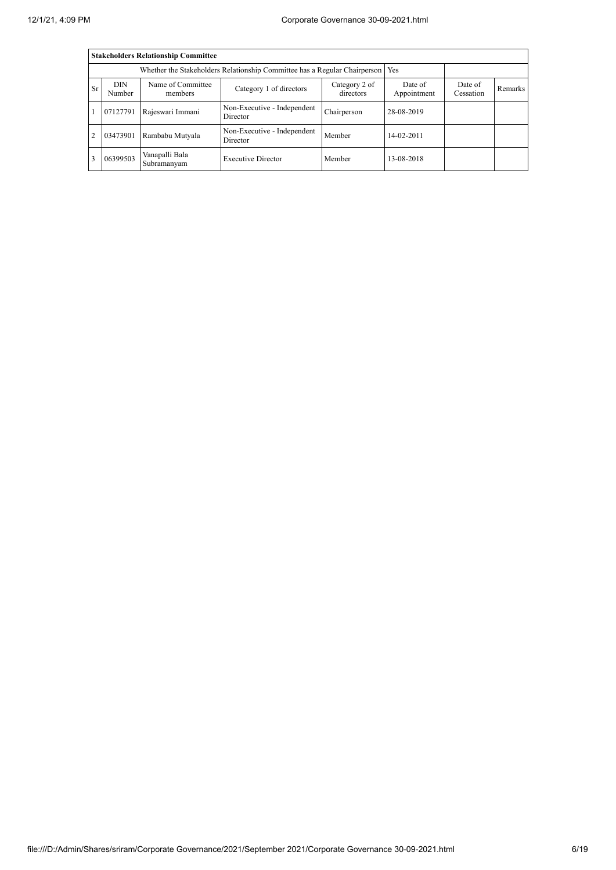|                |                      | <b>Stakeholders Relationship Committee</b> |                                                                           |                            |                        |                      |                |
|----------------|----------------------|--------------------------------------------|---------------------------------------------------------------------------|----------------------------|------------------------|----------------------|----------------|
|                |                      |                                            | Whether the Stakeholders Relationship Committee has a Regular Chairperson |                            | Yes                    |                      |                |
| <b>Sr</b>      | <b>DIN</b><br>Number | Name of Committee<br>members               | Category 1 of directors                                                   | Category 2 of<br>directors | Date of<br>Appointment | Date of<br>Cessation | <b>Remarks</b> |
|                | 07127791             | Rajeswari Immani                           | Non-Executive - Independent<br>Director                                   | Chairperson                | 28-08-2019             |                      |                |
| $\overline{2}$ | 03473901             | Rambabu Mutyala                            | Non-Executive - Independent<br>Director                                   | Member                     | $14-02-2011$           |                      |                |
| 3              | 06399503             | Vanapalli Bala<br>Subramanyam              | <b>Executive Director</b>                                                 | Member                     | 13-08-2018             |                      |                |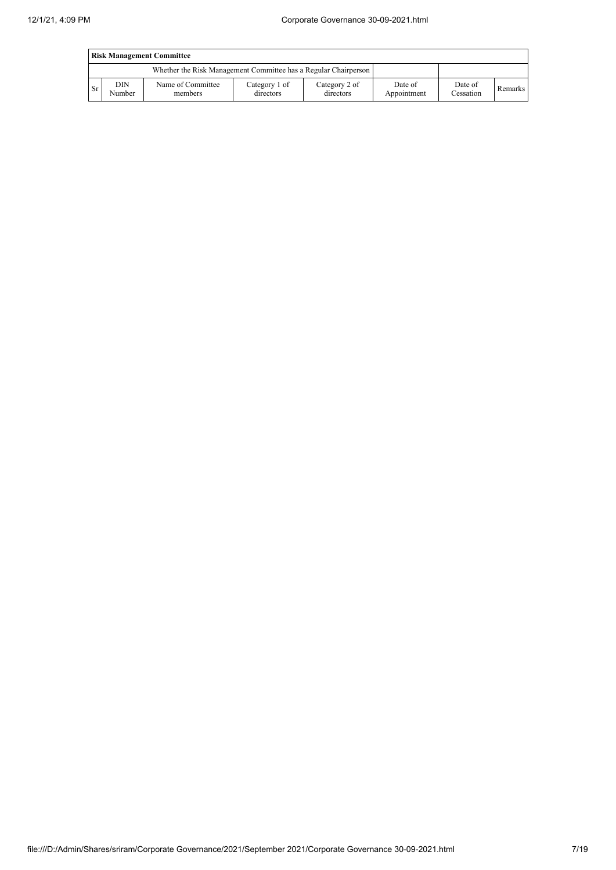|           | <b>Risk Management Committee</b> |                                                                 |                            |                            |                        |                      |         |  |  |
|-----------|----------------------------------|-----------------------------------------------------------------|----------------------------|----------------------------|------------------------|----------------------|---------|--|--|
|           |                                  | Whether the Risk Management Committee has a Regular Chairperson |                            |                            |                        |                      |         |  |  |
| <b>Sr</b> | DIN<br>Number                    | Name of Committee<br>members                                    | Category 1 of<br>directors | Category 2 of<br>directors | Date of<br>Appointment | Date of<br>Cessation | Remarks |  |  |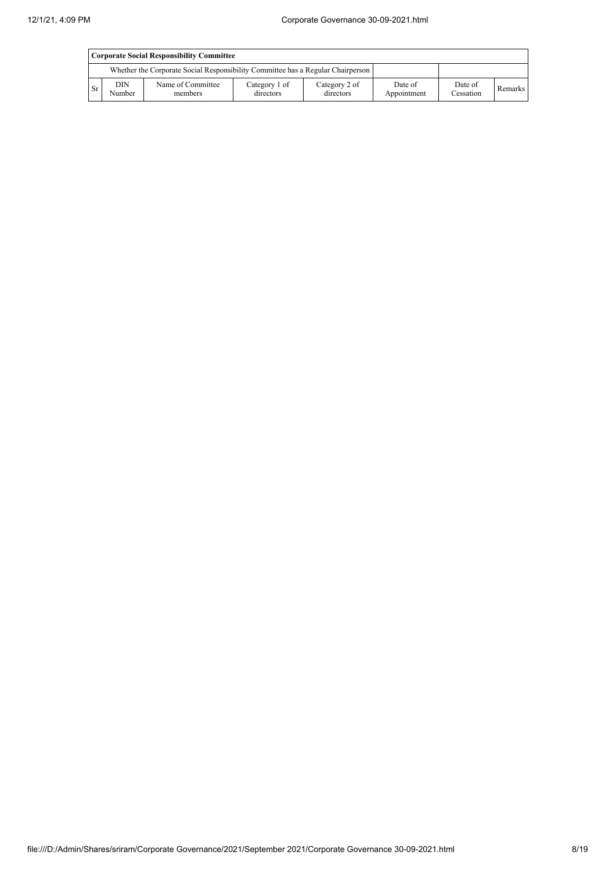|           | Corporate Social Responsibility Committee |                                                                                 |                            |                            |                        |                      |         |  |  |
|-----------|-------------------------------------------|---------------------------------------------------------------------------------|----------------------------|----------------------------|------------------------|----------------------|---------|--|--|
|           |                                           | Whether the Corporate Social Responsibility Committee has a Regular Chairperson |                            |                            |                        |                      |         |  |  |
| <b>Sr</b> | DIN<br>Number                             | Name of Committee<br>members                                                    | Category 1 of<br>directors | Category 2 of<br>directors | Date of<br>Appointment | Date of<br>Cessation | Remarks |  |  |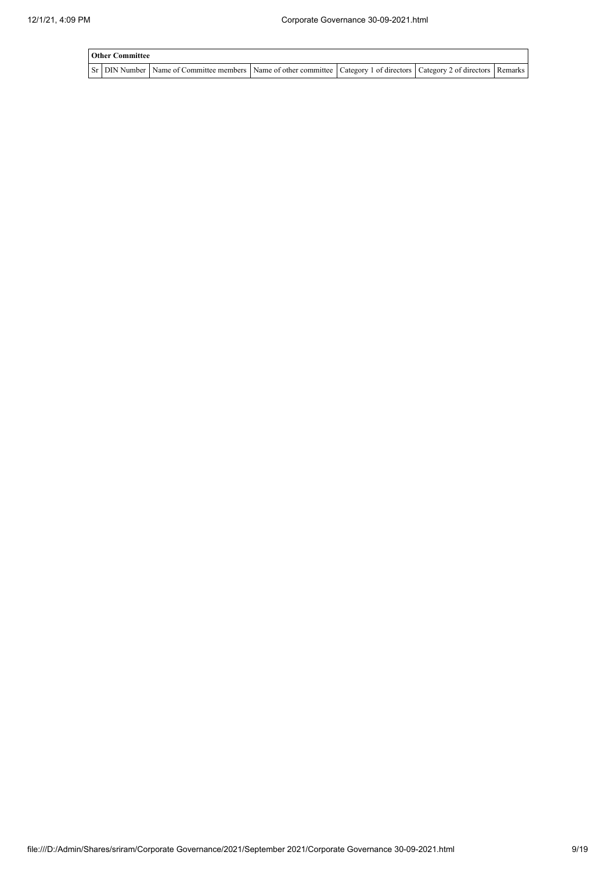| <b>Other Committee</b> |                                                                                                                                     |  |  |
|------------------------|-------------------------------------------------------------------------------------------------------------------------------------|--|--|
|                        | Sr   DIN Number   Name of Committee members   Name of other committee   Category 1 of directors   Category 2 of directors   Remarks |  |  |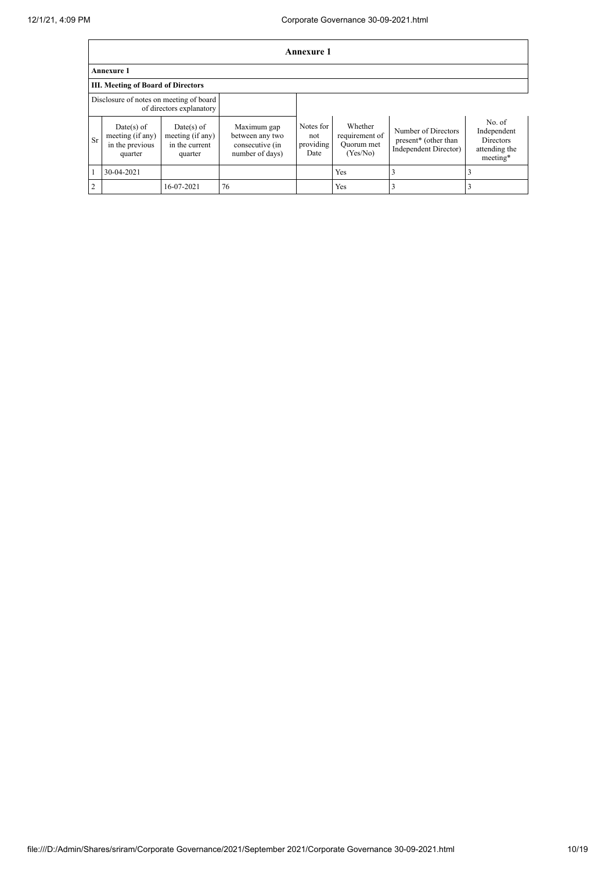|                | <b>Annexure 1</b>                                              |                                                               |                                                                      |                                       |                                                     |                                                                      |                                                                        |  |  |
|----------------|----------------------------------------------------------------|---------------------------------------------------------------|----------------------------------------------------------------------|---------------------------------------|-----------------------------------------------------|----------------------------------------------------------------------|------------------------------------------------------------------------|--|--|
|                | <b>Annexure 1</b>                                              |                                                               |                                                                      |                                       |                                                     |                                                                      |                                                                        |  |  |
|                | <b>III. Meeting of Board of Directors</b>                      |                                                               |                                                                      |                                       |                                                     |                                                                      |                                                                        |  |  |
|                | Disclosure of notes on meeting of board                        | of directors explanatory                                      |                                                                      |                                       |                                                     |                                                                      |                                                                        |  |  |
| Sr             | $Date(s)$ of<br>meeting (if any)<br>in the previous<br>quarter | $Date(s)$ of<br>meeting (if any)<br>in the current<br>quarter | Maximum gap<br>between any two<br>consecutive (in<br>number of days) | Notes for<br>not<br>providing<br>Date | Whether<br>requirement of<br>Quorum met<br>(Yes/No) | Number of Directors<br>present* (other than<br>Independent Director) | No. of<br>Independent<br><b>Directors</b><br>attending the<br>meeting* |  |  |
|                | 30-04-2021                                                     |                                                               |                                                                      |                                       | Yes                                                 | 3                                                                    | 3                                                                      |  |  |
| $\overline{2}$ |                                                                | 16-07-2021                                                    | 76                                                                   |                                       | Yes                                                 |                                                                      | 3                                                                      |  |  |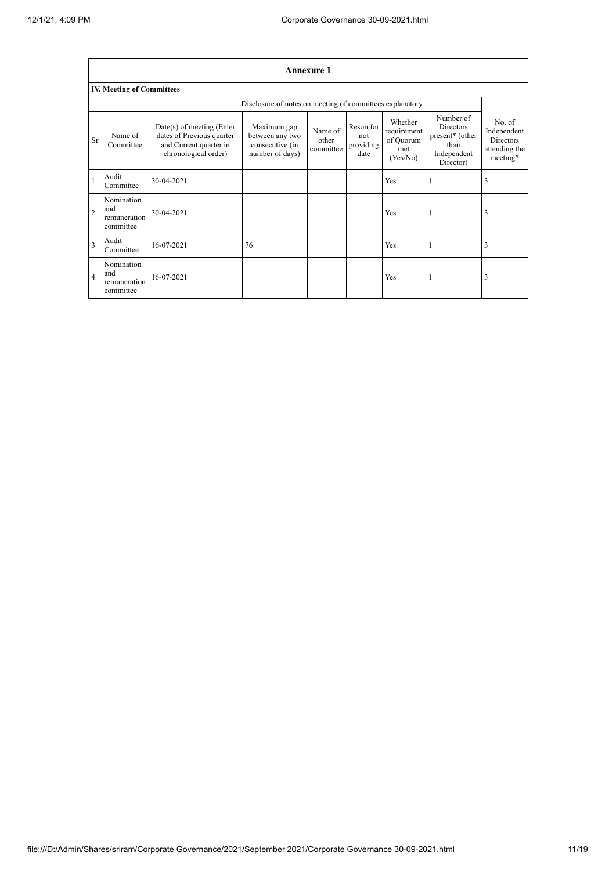|                | <b>Annexure 1</b>                              |                                                                                                            |                                                                      |                               |                                       |                                                        |                                                                                      |                                                                        |  |
|----------------|------------------------------------------------|------------------------------------------------------------------------------------------------------------|----------------------------------------------------------------------|-------------------------------|---------------------------------------|--------------------------------------------------------|--------------------------------------------------------------------------------------|------------------------------------------------------------------------|--|
|                | <b>IV. Meeting of Committees</b>               |                                                                                                            |                                                                      |                               |                                       |                                                        |                                                                                      |                                                                        |  |
|                |                                                |                                                                                                            | Disclosure of notes on meeting of committees explanatory             |                               |                                       |                                                        |                                                                                      |                                                                        |  |
| <b>Sr</b>      | Name of<br>Committee                           | $Date(s)$ of meeting (Enter<br>dates of Previous quarter<br>and Current quarter in<br>chronological order) | Maximum gap<br>between any two<br>consecutive (in<br>number of days) | Name of<br>other<br>committee | Reson for<br>not<br>providing<br>date | Whether<br>requirement<br>of Quorum<br>met<br>(Yes/No) | Number of<br><b>Directors</b><br>present* (other<br>than<br>Independent<br>Director) | No. of<br>Independent<br><b>Directors</b><br>attending the<br>meeting* |  |
|                | Audit<br>Committee                             | 30-04-2021                                                                                                 |                                                                      |                               |                                       | Yes                                                    |                                                                                      | 3                                                                      |  |
| $\overline{2}$ | Nomination<br>and<br>remuneration<br>committee | 30-04-2021                                                                                                 |                                                                      |                               |                                       | Yes                                                    |                                                                                      | 3                                                                      |  |
| 3              | Audit<br>Committee                             | 16-07-2021                                                                                                 | 76                                                                   |                               |                                       | Yes                                                    |                                                                                      | 3                                                                      |  |
| $\overline{4}$ | Nomination<br>and<br>remuneration<br>committee | 16-07-2021                                                                                                 |                                                                      |                               |                                       | Yes                                                    |                                                                                      | 3                                                                      |  |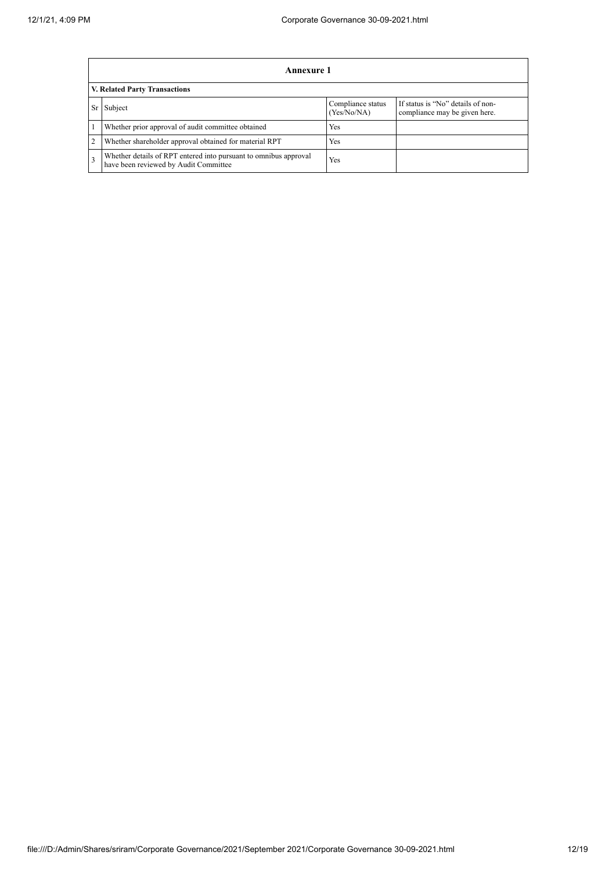|                | <b>Annexure 1</b>                                                                                         |                                  |                                                                    |  |  |  |  |  |  |  |
|----------------|-----------------------------------------------------------------------------------------------------------|----------------------------------|--------------------------------------------------------------------|--|--|--|--|--|--|--|
|                | <b>V. Related Party Transactions</b>                                                                      |                                  |                                                                    |  |  |  |  |  |  |  |
| Sr             | Subject                                                                                                   | Compliance status<br>(Yes/No/NA) | If status is "No" details of non-<br>compliance may be given here. |  |  |  |  |  |  |  |
|                | Whether prior approval of audit committee obtained                                                        | Yes                              |                                                                    |  |  |  |  |  |  |  |
| $\overline{2}$ | Whether shareholder approval obtained for material RPT                                                    | Yes                              |                                                                    |  |  |  |  |  |  |  |
| 3              | Whether details of RPT entered into pursuant to omnibus approval<br>have been reviewed by Audit Committee | Yes                              |                                                                    |  |  |  |  |  |  |  |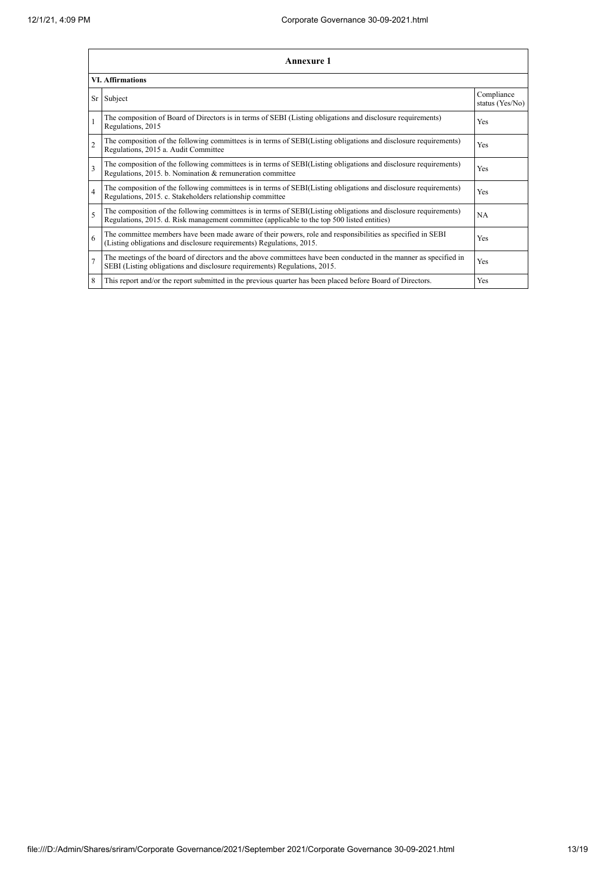|                         | Annexure 1                                                                                                                                                                                                      |                               |  |  |
|-------------------------|-----------------------------------------------------------------------------------------------------------------------------------------------------------------------------------------------------------------|-------------------------------|--|--|
|                         | <b>VI. Affirmations</b>                                                                                                                                                                                         |                               |  |  |
|                         | Sr Subject                                                                                                                                                                                                      | Compliance<br>status (Yes/No) |  |  |
|                         | The composition of Board of Directors is in terms of SEBI (Listing obligations and disclosure requirements)<br>Regulations, 2015                                                                                | Yes                           |  |  |
| $\overline{2}$          | The composition of the following committees is in terms of SEBI(Listing obligations and disclosure requirements)<br>Regulations, 2015 a. Audit Committee                                                        | Yes                           |  |  |
| $\overline{\mathbf{3}}$ | The composition of the following committees is in terms of SEBI(Listing obligations and disclosure requirements)<br>Regulations, 2015. b. Nomination & remuneration committee                                   | Yes                           |  |  |
| $\overline{4}$          | The composition of the following committees is in terms of SEBI(Listing obligations and disclosure requirements)<br>Regulations, 2015. c. Stakeholders relationship committee                                   | Yes                           |  |  |
| 5                       | The composition of the following committees is in terms of SEBI(Listing obligations and disclosure requirements)<br>Regulations, 2015. d. Risk management committee (applicable to the top 500 listed entities) | NA                            |  |  |
| 6                       | The committee members have been made aware of their powers, role and responsibilities as specified in SEBI<br>(Listing obligations and disclosure requirements) Regulations, 2015.                              | Yes                           |  |  |
| $\overline{7}$          | The meetings of the board of directors and the above committees have been conducted in the manner as specified in<br>SEBI (Listing obligations and disclosure requirements) Regulations, 2015.                  | Yes                           |  |  |
| 8                       | This report and/or the report submitted in the previous quarter has been placed before Board of Directors.                                                                                                      | Yes                           |  |  |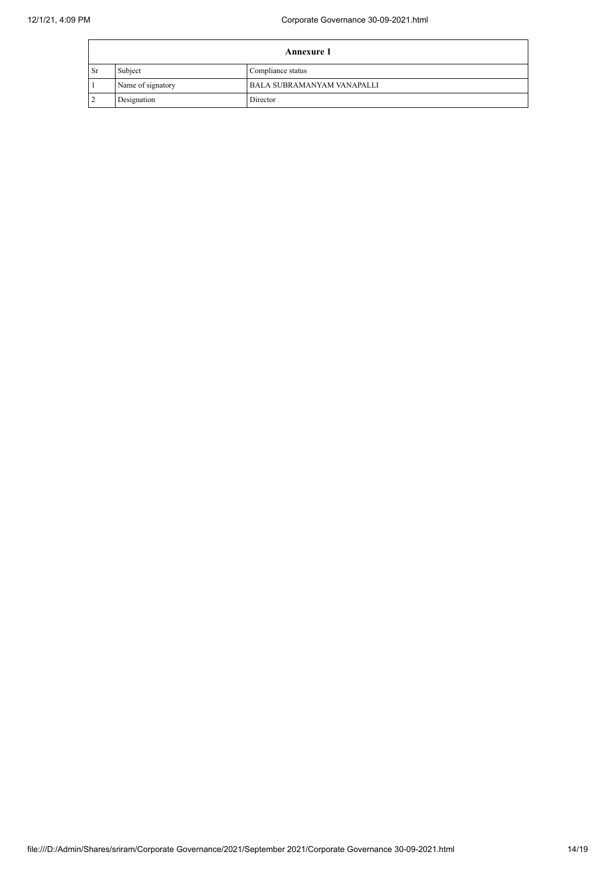| <b>Annexure 1</b> |                   |                            |
|-------------------|-------------------|----------------------------|
| l Sr              | Subject           | Compliance status          |
|                   | Name of signatory | BALA SUBRAMANYAM VANAPALLI |
| $\overline{2}$    | Designation       | Director                   |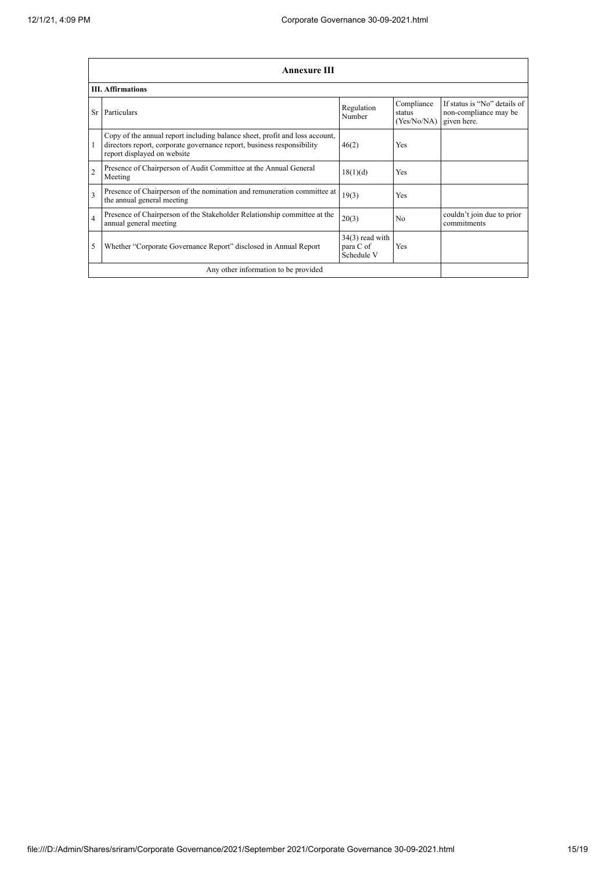|                | <b>Annexure III</b>                                                                                                                                                                  |                                              |                                     |                                                                      |  |  |
|----------------|--------------------------------------------------------------------------------------------------------------------------------------------------------------------------------------|----------------------------------------------|-------------------------------------|----------------------------------------------------------------------|--|--|
|                | <b>III.</b> Affirmations                                                                                                                                                             |                                              |                                     |                                                                      |  |  |
| Sr             | Particulars                                                                                                                                                                          | Regulation<br>Number                         | Compliance<br>status<br>(Yes/No/NA) | If status is "No" details of<br>non-compliance may be<br>given here. |  |  |
|                | Copy of the annual report including balance sheet, profit and loss account,<br>directors report, corporate governance report, business responsibility<br>report displayed on website | 46(2)                                        | <b>Yes</b>                          |                                                                      |  |  |
| $\overline{2}$ | Presence of Chairperson of Audit Committee at the Annual General<br>Meeting                                                                                                          | 18(1)(d)                                     | <b>Yes</b>                          |                                                                      |  |  |
| 3              | Presence of Chairperson of the nomination and remuneration committee at<br>the annual general meeting                                                                                | 19(3)                                        | <b>Yes</b>                          |                                                                      |  |  |
| $\overline{4}$ | Presence of Chairperson of the Stakeholder Relationship committee at the<br>annual general meeting                                                                                   | 20(3)                                        | N <sub>0</sub>                      | couldn't join due to prior<br>commitments                            |  |  |
| 5              | Whether "Corporate Governance Report" disclosed in Annual Report                                                                                                                     | $34(3)$ read with<br>para C of<br>Schedule V | Yes                                 |                                                                      |  |  |
|                | Any other information to be provided                                                                                                                                                 |                                              |                                     |                                                                      |  |  |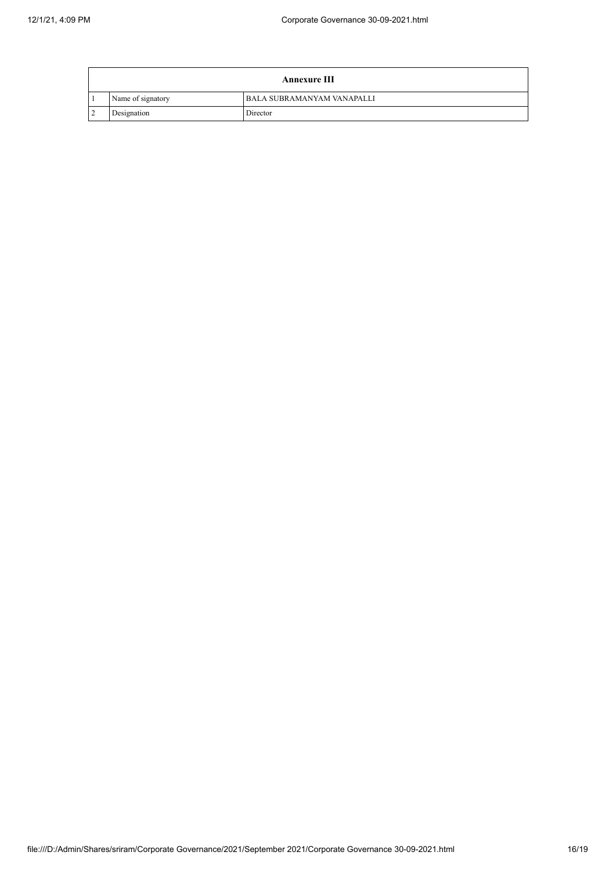|             | <b>Annexure III</b> |                                   |  |  |
|-------------|---------------------|-----------------------------------|--|--|
|             | Name of signatory   | <b>BALA SUBRAMANYAM VANAPALLI</b> |  |  |
| $\sim$<br>∠ | Designation         | Director                          |  |  |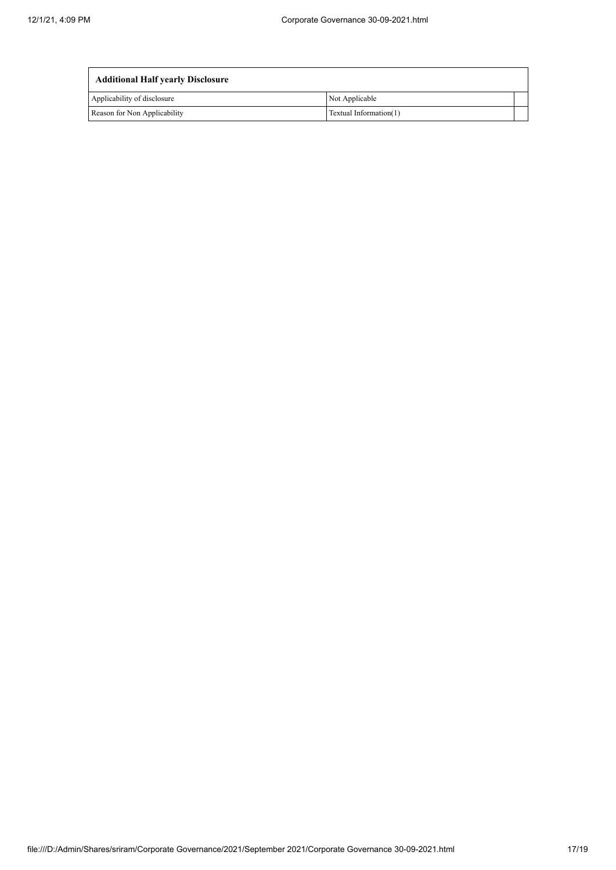$\overline{a}$ 

| <b>Additional Half yearly Disclosure</b> |                        |  |  |  |
|------------------------------------------|------------------------|--|--|--|
| Applicability of disclosure              | Not Applicable         |  |  |  |
| Reason for Non Applicability             | Textual Information(1) |  |  |  |